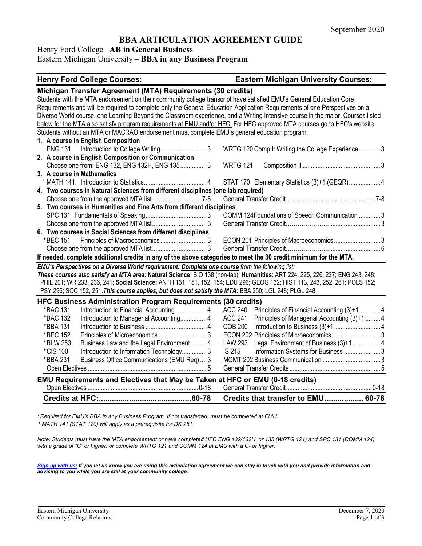# **BBA ARTICULATION AGREEMENT GUIDE**

Henry Ford College –**AB in General Business**

Eastern Michigan University – **BBA in any Business Program**

## **Henry Ford College Courses: Eastern Michigan University Courses:**

|                                                                                                                                                                                                                                                                                                                                                                     | Credits that transfer to EMU 60-78                             |  |  |  |
|---------------------------------------------------------------------------------------------------------------------------------------------------------------------------------------------------------------------------------------------------------------------------------------------------------------------------------------------------------------------|----------------------------------------------------------------|--|--|--|
|                                                                                                                                                                                                                                                                                                                                                                     |                                                                |  |  |  |
| EMU Requirements and Electives that May be Taken at HFC or EMU (0-18 credits)                                                                                                                                                                                                                                                                                       |                                                                |  |  |  |
|                                                                                                                                                                                                                                                                                                                                                                     |                                                                |  |  |  |
| *BBA 231<br>Business Office Communications (EMU Req)3                                                                                                                                                                                                                                                                                                               |                                                                |  |  |  |
| *CIS 100<br>Introduction to Information Technology3                                                                                                                                                                                                                                                                                                                 | <b>IS 215</b><br>Information Systems for Business  3           |  |  |  |
| Business Law and the Legal Environment 4<br>*BLW 253                                                                                                                                                                                                                                                                                                                | <b>LAW 293</b><br>Legal Environment of Business (3)+1 4        |  |  |  |
| *BEC 152                                                                                                                                                                                                                                                                                                                                                            | ECON 202 Principles of Microeconomics  3                       |  |  |  |
| *BBA 131                                                                                                                                                                                                                                                                                                                                                            | <b>COB 200</b>                                                 |  |  |  |
| *BAC 132<br>Introduction to Managerial Accounting 4                                                                                                                                                                                                                                                                                                                 | <b>ACC 241</b><br>Principles of Managerial Accounting (3)+1  4 |  |  |  |
| *BAC 131<br>Introduction to Financial Accounting 4                                                                                                                                                                                                                                                                                                                  | <b>ACC 240</b><br>Principles of Financial Accounting (3)+14    |  |  |  |
| <b>HFC Business Administration Program Requirements (30 credits)</b>                                                                                                                                                                                                                                                                                                |                                                                |  |  |  |
| These courses also satisfy an MTA area: Natural Science: BIO 138 (non-lab); Humanities: ART 224, 225, 226, 227; ENG 243, 248;<br>PHIL 201; WR 233, 236, 241; Social Science: ANTH 131, 151, 152, 154; EDU 296; GEOG 132; HIST 113, 243, 252, 261; POLS 152;<br>PSY 296; SOC 152, 251. This course applies, but does not satisfy the MTA: BBA 250; LGL 248; PLGL 248 |                                                                |  |  |  |
| EMU's Perspectives on a Diverse World requirement: Complete one course from the following list:                                                                                                                                                                                                                                                                     |                                                                |  |  |  |
| If needed, complete additional credits in any of the above categories to meet the 30 credit minimum for the MTA.                                                                                                                                                                                                                                                    |                                                                |  |  |  |
|                                                                                                                                                                                                                                                                                                                                                                     |                                                                |  |  |  |
| *BEC 151 Principles of Macroeconomics3                                                                                                                                                                                                                                                                                                                              | ECON 201 Principles of Macroeconomics3                         |  |  |  |
| 6. Two courses in Social Sciences from different disciplines                                                                                                                                                                                                                                                                                                        |                                                                |  |  |  |
|                                                                                                                                                                                                                                                                                                                                                                     |                                                                |  |  |  |
|                                                                                                                                                                                                                                                                                                                                                                     | COMM 124Foundations of Speech Communication  3                 |  |  |  |
| 5. Two courses in Humanities and Fine Arts from different disciplines                                                                                                                                                                                                                                                                                               |                                                                |  |  |  |
|                                                                                                                                                                                                                                                                                                                                                                     |                                                                |  |  |  |
| 4. Two courses in Natural Sciences from different disciplines (one lab required)                                                                                                                                                                                                                                                                                    |                                                                |  |  |  |
|                                                                                                                                                                                                                                                                                                                                                                     | STAT 170 Elementary Statistics (3)+1 (GEQR) 4                  |  |  |  |
| 3. A course in Mathematics                                                                                                                                                                                                                                                                                                                                          |                                                                |  |  |  |
| Choose one from: ENG 132, ENG 132H, ENG 1353                                                                                                                                                                                                                                                                                                                        | <b>WRTG 121</b>                                                |  |  |  |
| Introduction to College Writing3<br>2. A course in English Composition or Communication                                                                                                                                                                                                                                                                             | WRTG 120 Comp I: Writing the College Experience 3              |  |  |  |
| 1. A course in English Composition<br><b>ENG 131</b>                                                                                                                                                                                                                                                                                                                |                                                                |  |  |  |
| Students without an MTA or MACRAO endorsement must complete EMU's general education program.                                                                                                                                                                                                                                                                        |                                                                |  |  |  |
| below for the MTA also satisfy program requirements at EMU and/or HFC. For HFC approved MTA courses go to HFC's website.                                                                                                                                                                                                                                            |                                                                |  |  |  |
| Diverse World course, one Learning Beyond the Classroom experience, and a Writing Intensive course in the major. Courses listed                                                                                                                                                                                                                                     |                                                                |  |  |  |
| Requirements and will be required to complete only the General Education Application Requirements of one Perspectives on a                                                                                                                                                                                                                                          |                                                                |  |  |  |
| Students with the MTA endorsement on their community college transcript have satisfied EMU's General Education Core                                                                                                                                                                                                                                                 |                                                                |  |  |  |
|                                                                                                                                                                                                                                                                                                                                                                     | Michigan Transfer Agreement (MTA) Requirements (30 credits)    |  |  |  |

*\* Required for EMU's BBA in any Business Program. If not transferred, must be completed at EMU. 1 MATH 141 (STAT 170) will apply as a prerequisite for DS 251.*

*Note: Students must have the MTA endorsement or have completed HFC ENG 132/132H, or 135 (WRTG 121) and SPC 131 (COMM 124) with a grade of "C" or higher, or complete WRTG 121 and COMM 124 at EMU with a C- or higher.*

*[Sign up with us:](https://www.emich.edu/ccr/articulation-agreements/signup.php) If you let us know you are using this articulation agreement we can stay in touch with you and provide information and advising to you while you are still at your community college.*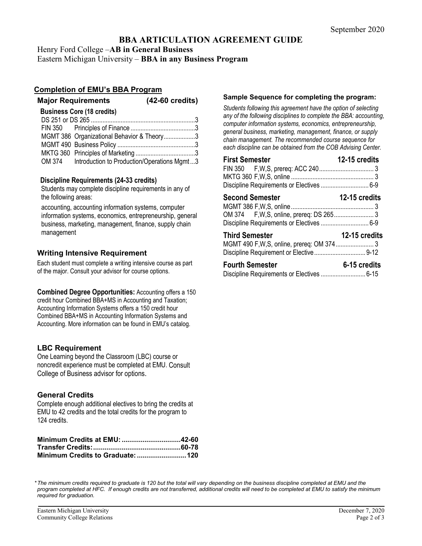# **BBA ARTICULATION AGREEMENT GUIDE**

Henry Ford College –**AB in General Business**

Eastern Michigan University – **BBA in any Business Program**

## **Completion of EMU's BBA Program**

## **Major Requirements (42-60 credits)**

| <b>Business Core (18 credits)</b> |                                                    |  |  |
|-----------------------------------|----------------------------------------------------|--|--|
|                                   |                                                    |  |  |
|                                   |                                                    |  |  |
|                                   | MGMT 386 Organizational Behavior & Theory3         |  |  |
|                                   |                                                    |  |  |
|                                   |                                                    |  |  |
|                                   | OM 374 Introduction to Production/Operations Mgmt3 |  |  |

#### **Discipline Requirements (24-33 credits)**

Students may complete discipline requirements in any of the following areas:

accounting, accounting information systems, computer information systems, economics, entrepreneurship, general business, marketing, management, finance, supply chain management

# **Writing Intensive Requirement**

Each student must complete a writing intensive course as part of the major. Consult your advisor for course options.

**Combined Degree Opportunities:** Accounting offers a 150 credit hour Combined BBA+MS in Accounting and Taxation; Accounting Information Systems offers a 150 credit hour Combined BBA+MS in Accounting Information Systems and Accounting. More information can be found in EMU's catalog.

## **LBC Requirement**

One Learning beyond the Classroom (LBC) course or noncredit experience must be completed at EMU. Consult College of Business advisor for options.

## **General Credits**

Complete enough additional electives to bring the credits at EMU to 42 credits and the total credits for the program to 124 credits.

#### **Sample Sequence for completing the program:**

*Students following this agreement have the option of selecting any of the following disciplines to complete the BBA: accounting, computer information systems, economics, entrepreneurship, general business, marketing, management, finance, or supply chain management. The recommended course sequence for each discipline can be obtained from the COB Advising Center.* 

| <b>First Semester</b>                     | 12-15 credits        |
|-------------------------------------------|----------------------|
|                                           |                      |
|                                           |                      |
|                                           |                      |
| <b>Second Semester</b>                    | <b>12-15 credits</b> |
|                                           |                      |
| Discipline Requirements or Electives  6-9 |                      |
| <b>Third Semester</b>                     | 12-15 credits        |
|                                           |                      |
| <b>Fourth Semester</b>                    | 6-15 credits         |
|                                           |                      |

*\*The minimum credits required to graduate is 120 but the total will vary depending on the business discipline completed at EMU and the program completed at HFC. If enough credits are not transferred, additional credits will need to be completed at EMU to satisfy the minimum required for graduation.*